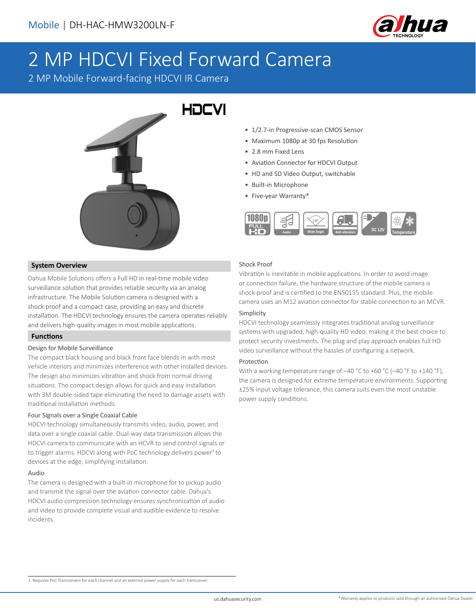

# 2 MP HDCVI Fixed Forward Camera

2 MP Mobile Forward-facing HDCVI IR Camera



# **System Overview**

Dahua Mobile Solutions offers a Full HD in real-time mobile video surveillance solution that provides reliable security via an analog infrastructure. The Mobile Solution camera is designed with a shock-proof and a compact case, providing an easy and discrete installation. The HDCVI technology ensures the camera operates reliably and delivers high-quality images in most mobile applications.

# **Functions**

# Design for Mobile Surveillance

The compact black housing and black front face blends in with most vehicle interiors and minimizes interference with other installed devices. The design also minimizes vibration and shock from normal driving situations. The compact design allows for quick and easy installation with 3M double-sided tape eliminating the need to damage assets with traditional installation methods.

# Four Signals over a Single Coaxial Cable

HDCVI technology simultaneously transmits video, audio, power, and data over a single coaxial cable. Dual-way data transmission allows the HDCVI camera to communicate with an HCVR to send control signals or to trigger alarms. HDCVI along with PoC technology delivers power<sup>1</sup> to devices at the edge, simplifying installation.

#### Audio

The camera is designed with a built-in microphone for to pickup audio and transmit the signal over the aviation connector cable. Dahua's HDCVI audio compression technology ensures synchronization of audio and video to provide complete visual and audible evidence to resolve incidents.

- 1/2.7-in Progressive-scan CMOS Sensor
- Maximum 1080p at 30 fps Resolution
- 2.8 mm Fixed Lens
- Aviation Connector for HDCVI Output
- HD and SD Video Output, switchable
- Built-in Microphone
- Five-year Warranty\*



# Shock Proof

Vibration is inevitable in mobile applications. In order to avoid image or connection failure, the hardware structure of the mobile camera is shock-proof and is certified to the EN50155 standard. Plus, the mobile camera uses an M12 aviation connector for stable connection to an MCVR.

#### Simplicity

HDCVI technology seamlessly integrates traditional analog surveillance systems with upgraded, high-quality HD video, making it the best choice to protect security investments. The plug and play approach enables full HD video surveillance without the hassles of configuring a network.

#### Protection

With a working temperature range of -40 °C to +60 °C (-40 °F to +140 °F), the camera is designed for extreme temperature environments. Supporting ±25% input voltage tolerance, this camera suits even the most unstable power supply conditions.

1. Requires PoC Transceivers for each channel and an external power supply for each transceiver.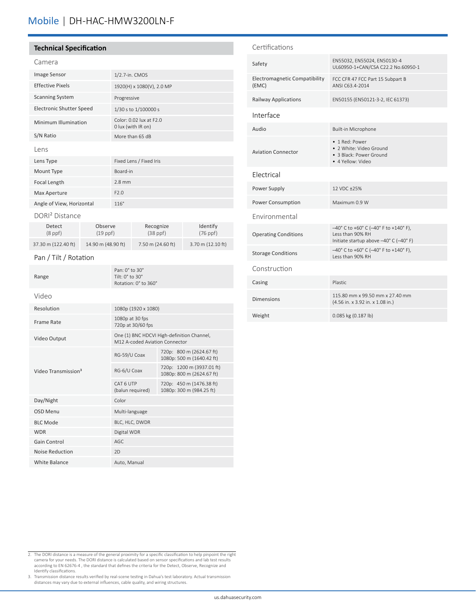# Mobile | DH-HAC-HMW3200LN-F

#### **Technical Specification**

| Image Sensor                    | 1/2.7-in. CMOS                                |
|---------------------------------|-----------------------------------------------|
| <b>Effective Pixels</b>         | 1920(H) x 1080(V), 2.0 MP                     |
| <b>Scanning System</b>          | Progressive                                   |
| <b>Electronic Shutter Speed</b> | 1/30 s to 1/100000 s                          |
| Minimum Illumination            | Color: 0.02 lux at F2.0<br>0 lux (with IR on) |
| S/N Ratio                       | More than 65 dB                               |
| Lens                            |                                               |
| Lens Type                       | Fixed Lens / Fixed Iris                       |
| Mount Type                      | Board-in                                      |
| <b>Focal Length</b>             | $2.8$ mm                                      |
| Max Aperture                    | F2.0                                          |
| Angle of View, Horizontal       | $116^\circ$                                   |

DORI² Distance

| Detect              | Observe            | Recognize         | Identify          |
|---------------------|--------------------|-------------------|-------------------|
| $(8$ ppf $)$        | $(19$ ppf)         | $(38$ ppf)        | $(76$ ppf)        |
| 37.30 m (122.40 ft) | 14.90 m (48.90 ft) | 7.50 m (24.60 ft) | 3.70 m (12.10 ft) |

#### Pan / Tilt / Rotation

| Range                           | Pan: $0^\circ$ to $30^\circ$<br>Tilt: 0° to 30°<br>Rotation: 0° to 360°      |                                                        |  |
|---------------------------------|------------------------------------------------------------------------------|--------------------------------------------------------|--|
| Video                           |                                                                              |                                                        |  |
| Resolution                      | 1080p (1920 x 1080)                                                          |                                                        |  |
| Frame Rate                      | 1080p at 30 fps<br>720p at 30/60 fps                                         |                                                        |  |
| Video Output                    | One (1) BNC HDCVI High-definition Channel,<br>M12 A-coded Aviation Connector |                                                        |  |
| Video Transmission <sup>3</sup> | RG-59/U Coax                                                                 | 720p: 800 m (2624.67 ft)<br>1080p: 500 m (1640.42 ft)  |  |
|                                 | RG-6/U Coax                                                                  | 720p: 1200 m (3937.01 ft)<br>1080p: 800 m (2624.67 ft) |  |
|                                 | CAT 6 UTP<br>(balun required)                                                | 720p: 450 m (1476.38 ft)<br>1080p: 300 m (984.25 ft)   |  |
| Day/Night                       | Color                                                                        |                                                        |  |
| OSD Menu                        | Multi-language                                                               |                                                        |  |
| <b>BLC Mode</b>                 | BLC, HLC, DWDR                                                               |                                                        |  |
| <b>WDR</b>                      | Digital WDR                                                                  |                                                        |  |
| Gain Control                    | AGC.                                                                         |                                                        |  |
| Noise Reduction                 | 2D                                                                           |                                                        |  |
| White Balance                   | Auto, Manual                                                                 |                                                        |  |

# Certifications EN55032, EN55024, EN50130-4<br>LUCOSE ALGALICEA CON CONTRACTOR UL60950-1+CAN/CSA C22.2 No.60950-1 Electromagnetic Compatibility (EMC) FCC CFR 47 FCC Part 15 Subpart B ANSI C63.4-2014 Railway Applications EN50155 (EN50121-3-2, IEC 61373) Interface Audio **Built-in Microphone** Aviation Connector • 1 Red: Power • 2 White: Video Ground • 3 Black: Power Ground • 4 Yellow: Video Electrical Power Supply 12 VDC ±25% Power Consumption Maximum 0.9 W Environmental Operating Conditions –40° C to +60° C (–40° F to +140° F), Less than 90% RH Initiate startup above –40° C (–40° F) Storage Conditions  $-40^{\circ}$  C to  $+60^{\circ}$  C  $(-40^{\circ}$  F to  $+140^{\circ}$  F), Less than 90% RH Construction Casing Plastic Dimensions 115.80 mm x 99.50 mm x 27.40 mm (4.56 in. x 3.92 in. x 1.08 in.) Weight 0.085 kg (0.187 lb)

- 2. The DORI distance is a measure of the general proximity for a specific classification to help pinpoint the right camera for your needs. The DORI distance is calculated based on sensor specifications and lab test results according to EN 62676-4 , the standard that defines the criteria for the Detect, Observe, Recognize and Identify classifications.
- 3. Transmission distance results verified by real-scene testing in Dahua's test laboratory. Actual transmission distances may vary due to external influences, cable quality, and wiring structures.